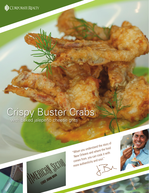

# Crispy Buster Crabs with baked jalepeño cheese grits

"When you understand the story of New Orleans and where the food comes from, you can cook it with more authenticity and soul."